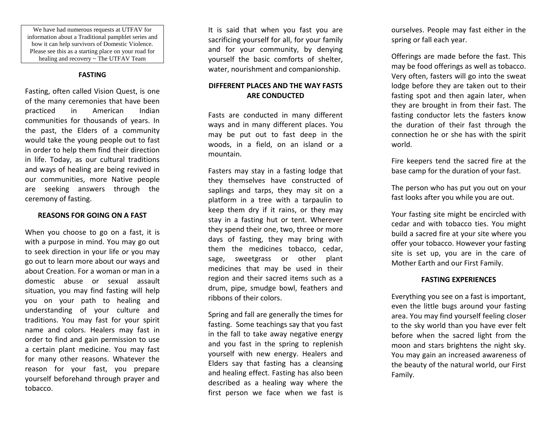We have had numerous requests at UTFAV for information about a Traditional pamphlet series and how it can help survivors of Domestic Violence. Please see this as a starting place on your road for healing and recovery ~ The UTFAV Team

### **FASTING**

Fasting, often called Vision Quest, is one of the many ceremonies that have been practiced in American Indian communities for thousands of years. In the past, the Elders of a community would take the young people out to fast in order to help them find their direction in life. Today, as our cultural traditions and ways of healing are being revived in our communities, more Native people are seeking answers through the ceremony of fasting.

#### **REASONS FOR GOING ON A FAST**

When you choose to go on a fast, it is with a purpose in mind. You may go out to seek direction in your life or you may go out to learn more about our ways and about Creation. For a woman or man in a domestic abuse or sexual assault situation, you may find fasting will help you on your path to healing and understanding of your culture and traditions. You may fast for your spirit name and colors. Healers may fast in order to find and gain permission to use a certain plant medicine. You may fast for many other reasons. Whatever the reason for your fast, you prepare yourself beforehand through prayer and tobacco.

It is said that when you fast you are sacrificing yourself for all, for your family and for your community, by denying yourself the basic comforts of shelter, water, nourishment and companionship.

## **DIFFERENT PLACES AND THE WAY FASTS ARE CONDUCTED**

Fasts are conducted in many different ways and in many different places. You may be put out to fast deep in the woods, in a field, on an island or a mountain.

Fasters may stay in a fasting lodge that they themselves have constructed of saplings and tarps, they may sit on a platform in a tree with a tarpaulin to keep them dry if it rains, or they may stay in a fasting hut or tent. Wherever they spend their one, two, three or more days of fasting, they may bring with them the medicines tobacco, cedar, sage, sweetgrass or other plant medicines that may be used in their region and their sacred items such as a drum, pipe, smudge bowl, feathers and ribbons of their colors.

Spring and fall are generally the times for fasting. Some teachings say that you fast in the fall to take away negative energy and you fast in the spring to replenish yourself with new energy. Healers and Elders say that fasting has a cleansing and healing effect. Fasting has also been described as a healing way where the first person we face when we fast is ourselves. People may fast either in the spring or fall each year.

Offerings are made before the fast. This may be food offerings as well as tobacco. Very often, fasters will go into the sweat lodge before they are taken out to their fasting spot and then again later, when they are brought in from their fast. The fasting conductor lets the fasters know the duration of their fast through the connection he or she has with the spirit world.

Fire keepers tend the sacred fire at the base camp for the duration of your fast.

The person who has put you out on your fast looks after you while you are out.

Your fasting site might be encircled with cedar and with tobacco ties. You might build a sacred fire at your site where you offer your tobacco. However your fasting site is set up, you are in the care of Mother Earth and our First Family.

### **FASTING EXPERIENCES**

Everything you see on a fast is important, even the little bugs around your fasting area. You may find yourself feeling closer to the sky world than you have ever felt before when the sacred light from the moon and stars brightens the night sky. You may gain an increased awareness of the beauty of the natural world, our First Family.